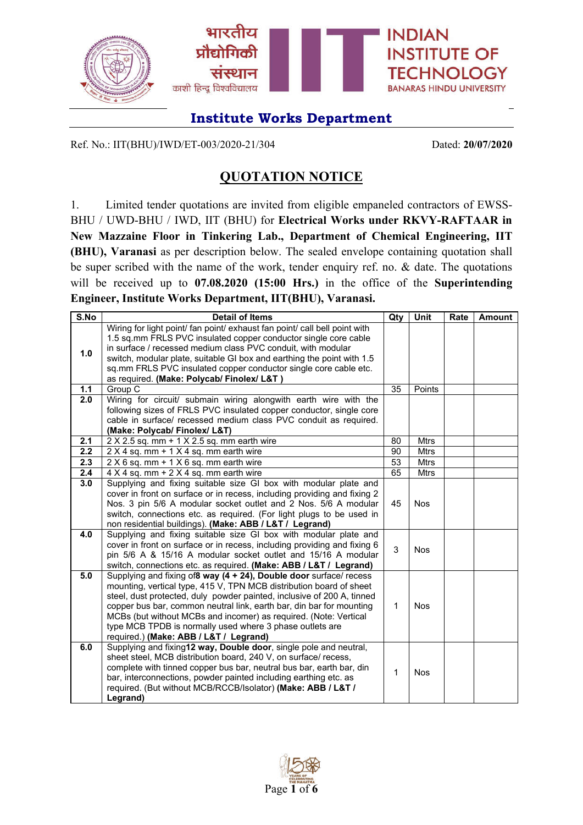

Ref. No.: IIT(BHU)/IWD/ET-003/2020-21/304 Dated: **20/07/2020**

## **QUOTATION NOTICE**

1. Limited tender quotations are invited from eligible empaneled contractors of EWSS-BHU / UWD-BHU / IWD, IIT (BHU) for **Electrical Works under RKVY-RAFTAAR in New Mazzaine Floor in Tinkering Lab., Department of Chemical Engineering, IIT (BHU), Varanasi** as per description below. The sealed envelope containing quotation shall be super scribed with the name of the work, tender enquiry ref. no. & date. The quotations will be received up to **07.08.2020 (15:00 Hrs.)** in the office of the **Superintending Engineer, Institute Works Department, IIT(BHU), Varanasi.**

| <b>Detail of Items</b>                                                     | Qty                                                                                                                                                                                                                                                                                                                                                                                                                                                                                                                                                                                                                                                                                                                                                                                                                                                                                                                                                                                                                                                                                                                                                                                                                                                                                                                                                                                                                                                                                                                                                                                                                                                                                                                                                                                                                                                                                                                                                                                                                                                                                         | Unit                                     | Rate                                                                                           | <b>Amount</b> |
|----------------------------------------------------------------------------|---------------------------------------------------------------------------------------------------------------------------------------------------------------------------------------------------------------------------------------------------------------------------------------------------------------------------------------------------------------------------------------------------------------------------------------------------------------------------------------------------------------------------------------------------------------------------------------------------------------------------------------------------------------------------------------------------------------------------------------------------------------------------------------------------------------------------------------------------------------------------------------------------------------------------------------------------------------------------------------------------------------------------------------------------------------------------------------------------------------------------------------------------------------------------------------------------------------------------------------------------------------------------------------------------------------------------------------------------------------------------------------------------------------------------------------------------------------------------------------------------------------------------------------------------------------------------------------------------------------------------------------------------------------------------------------------------------------------------------------------------------------------------------------------------------------------------------------------------------------------------------------------------------------------------------------------------------------------------------------------------------------------------------------------------------------------------------------------|------------------------------------------|------------------------------------------------------------------------------------------------|---------------|
| Wiring for light point/ fan point/ exhaust fan point/ call bell point with |                                                                                                                                                                                                                                                                                                                                                                                                                                                                                                                                                                                                                                                                                                                                                                                                                                                                                                                                                                                                                                                                                                                                                                                                                                                                                                                                                                                                                                                                                                                                                                                                                                                                                                                                                                                                                                                                                                                                                                                                                                                                                             |                                          |                                                                                                |               |
|                                                                            |                                                                                                                                                                                                                                                                                                                                                                                                                                                                                                                                                                                                                                                                                                                                                                                                                                                                                                                                                                                                                                                                                                                                                                                                                                                                                                                                                                                                                                                                                                                                                                                                                                                                                                                                                                                                                                                                                                                                                                                                                                                                                             |                                          |                                                                                                |               |
|                                                                            |                                                                                                                                                                                                                                                                                                                                                                                                                                                                                                                                                                                                                                                                                                                                                                                                                                                                                                                                                                                                                                                                                                                                                                                                                                                                                                                                                                                                                                                                                                                                                                                                                                                                                                                                                                                                                                                                                                                                                                                                                                                                                             |                                          |                                                                                                |               |
|                                                                            |                                                                                                                                                                                                                                                                                                                                                                                                                                                                                                                                                                                                                                                                                                                                                                                                                                                                                                                                                                                                                                                                                                                                                                                                                                                                                                                                                                                                                                                                                                                                                                                                                                                                                                                                                                                                                                                                                                                                                                                                                                                                                             |                                          |                                                                                                |               |
|                                                                            |                                                                                                                                                                                                                                                                                                                                                                                                                                                                                                                                                                                                                                                                                                                                                                                                                                                                                                                                                                                                                                                                                                                                                                                                                                                                                                                                                                                                                                                                                                                                                                                                                                                                                                                                                                                                                                                                                                                                                                                                                                                                                             |                                          |                                                                                                |               |
|                                                                            |                                                                                                                                                                                                                                                                                                                                                                                                                                                                                                                                                                                                                                                                                                                                                                                                                                                                                                                                                                                                                                                                                                                                                                                                                                                                                                                                                                                                                                                                                                                                                                                                                                                                                                                                                                                                                                                                                                                                                                                                                                                                                             |                                          |                                                                                                |               |
|                                                                            |                                                                                                                                                                                                                                                                                                                                                                                                                                                                                                                                                                                                                                                                                                                                                                                                                                                                                                                                                                                                                                                                                                                                                                                                                                                                                                                                                                                                                                                                                                                                                                                                                                                                                                                                                                                                                                                                                                                                                                                                                                                                                             |                                          |                                                                                                |               |
|                                                                            |                                                                                                                                                                                                                                                                                                                                                                                                                                                                                                                                                                                                                                                                                                                                                                                                                                                                                                                                                                                                                                                                                                                                                                                                                                                                                                                                                                                                                                                                                                                                                                                                                                                                                                                                                                                                                                                                                                                                                                                                                                                                                             |                                          |                                                                                                |               |
|                                                                            |                                                                                                                                                                                                                                                                                                                                                                                                                                                                                                                                                                                                                                                                                                                                                                                                                                                                                                                                                                                                                                                                                                                                                                                                                                                                                                                                                                                                                                                                                                                                                                                                                                                                                                                                                                                                                                                                                                                                                                                                                                                                                             |                                          |                                                                                                |               |
|                                                                            |                                                                                                                                                                                                                                                                                                                                                                                                                                                                                                                                                                                                                                                                                                                                                                                                                                                                                                                                                                                                                                                                                                                                                                                                                                                                                                                                                                                                                                                                                                                                                                                                                                                                                                                                                                                                                                                                                                                                                                                                                                                                                             |                                          |                                                                                                |               |
|                                                                            |                                                                                                                                                                                                                                                                                                                                                                                                                                                                                                                                                                                                                                                                                                                                                                                                                                                                                                                                                                                                                                                                                                                                                                                                                                                                                                                                                                                                                                                                                                                                                                                                                                                                                                                                                                                                                                                                                                                                                                                                                                                                                             |                                          |                                                                                                |               |
|                                                                            |                                                                                                                                                                                                                                                                                                                                                                                                                                                                                                                                                                                                                                                                                                                                                                                                                                                                                                                                                                                                                                                                                                                                                                                                                                                                                                                                                                                                                                                                                                                                                                                                                                                                                                                                                                                                                                                                                                                                                                                                                                                                                             |                                          |                                                                                                |               |
|                                                                            |                                                                                                                                                                                                                                                                                                                                                                                                                                                                                                                                                                                                                                                                                                                                                                                                                                                                                                                                                                                                                                                                                                                                                                                                                                                                                                                                                                                                                                                                                                                                                                                                                                                                                                                                                                                                                                                                                                                                                                                                                                                                                             |                                          |                                                                                                |               |
|                                                                            | 65                                                                                                                                                                                                                                                                                                                                                                                                                                                                                                                                                                                                                                                                                                                                                                                                                                                                                                                                                                                                                                                                                                                                                                                                                                                                                                                                                                                                                                                                                                                                                                                                                                                                                                                                                                                                                                                                                                                                                                                                                                                                                          |                                          |                                                                                                |               |
|                                                                            |                                                                                                                                                                                                                                                                                                                                                                                                                                                                                                                                                                                                                                                                                                                                                                                                                                                                                                                                                                                                                                                                                                                                                                                                                                                                                                                                                                                                                                                                                                                                                                                                                                                                                                                                                                                                                                                                                                                                                                                                                                                                                             |                                          |                                                                                                |               |
|                                                                            |                                                                                                                                                                                                                                                                                                                                                                                                                                                                                                                                                                                                                                                                                                                                                                                                                                                                                                                                                                                                                                                                                                                                                                                                                                                                                                                                                                                                                                                                                                                                                                                                                                                                                                                                                                                                                                                                                                                                                                                                                                                                                             |                                          |                                                                                                |               |
| Nos. 3 pin 5/6 A modular socket outlet and 2 Nos. 5/6 A modular            | 45                                                                                                                                                                                                                                                                                                                                                                                                                                                                                                                                                                                                                                                                                                                                                                                                                                                                                                                                                                                                                                                                                                                                                                                                                                                                                                                                                                                                                                                                                                                                                                                                                                                                                                                                                                                                                                                                                                                                                                                                                                                                                          | <b>Nos</b>                               |                                                                                                |               |
| switch, connections etc. as required. (For light plugs to be used in       |                                                                                                                                                                                                                                                                                                                                                                                                                                                                                                                                                                                                                                                                                                                                                                                                                                                                                                                                                                                                                                                                                                                                                                                                                                                                                                                                                                                                                                                                                                                                                                                                                                                                                                                                                                                                                                                                                                                                                                                                                                                                                             |                                          |                                                                                                |               |
| non residential buildings). (Make: ABB / L&T / Legrand)                    |                                                                                                                                                                                                                                                                                                                                                                                                                                                                                                                                                                                                                                                                                                                                                                                                                                                                                                                                                                                                                                                                                                                                                                                                                                                                                                                                                                                                                                                                                                                                                                                                                                                                                                                                                                                                                                                                                                                                                                                                                                                                                             |                                          |                                                                                                |               |
|                                                                            |                                                                                                                                                                                                                                                                                                                                                                                                                                                                                                                                                                                                                                                                                                                                                                                                                                                                                                                                                                                                                                                                                                                                                                                                                                                                                                                                                                                                                                                                                                                                                                                                                                                                                                                                                                                                                                                                                                                                                                                                                                                                                             |                                          |                                                                                                |               |
|                                                                            |                                                                                                                                                                                                                                                                                                                                                                                                                                                                                                                                                                                                                                                                                                                                                                                                                                                                                                                                                                                                                                                                                                                                                                                                                                                                                                                                                                                                                                                                                                                                                                                                                                                                                                                                                                                                                                                                                                                                                                                                                                                                                             |                                          |                                                                                                |               |
|                                                                            |                                                                                                                                                                                                                                                                                                                                                                                                                                                                                                                                                                                                                                                                                                                                                                                                                                                                                                                                                                                                                                                                                                                                                                                                                                                                                                                                                                                                                                                                                                                                                                                                                                                                                                                                                                                                                                                                                                                                                                                                                                                                                             |                                          |                                                                                                |               |
|                                                                            |                                                                                                                                                                                                                                                                                                                                                                                                                                                                                                                                                                                                                                                                                                                                                                                                                                                                                                                                                                                                                                                                                                                                                                                                                                                                                                                                                                                                                                                                                                                                                                                                                                                                                                                                                                                                                                                                                                                                                                                                                                                                                             |                                          |                                                                                                |               |
|                                                                            |                                                                                                                                                                                                                                                                                                                                                                                                                                                                                                                                                                                                                                                                                                                                                                                                                                                                                                                                                                                                                                                                                                                                                                                                                                                                                                                                                                                                                                                                                                                                                                                                                                                                                                                                                                                                                                                                                                                                                                                                                                                                                             |                                          |                                                                                                |               |
|                                                                            |                                                                                                                                                                                                                                                                                                                                                                                                                                                                                                                                                                                                                                                                                                                                                                                                                                                                                                                                                                                                                                                                                                                                                                                                                                                                                                                                                                                                                                                                                                                                                                                                                                                                                                                                                                                                                                                                                                                                                                                                                                                                                             |                                          |                                                                                                |               |
|                                                                            |                                                                                                                                                                                                                                                                                                                                                                                                                                                                                                                                                                                                                                                                                                                                                                                                                                                                                                                                                                                                                                                                                                                                                                                                                                                                                                                                                                                                                                                                                                                                                                                                                                                                                                                                                                                                                                                                                                                                                                                                                                                                                             |                                          |                                                                                                |               |
|                                                                            |                                                                                                                                                                                                                                                                                                                                                                                                                                                                                                                                                                                                                                                                                                                                                                                                                                                                                                                                                                                                                                                                                                                                                                                                                                                                                                                                                                                                                                                                                                                                                                                                                                                                                                                                                                                                                                                                                                                                                                                                                                                                                             |                                          |                                                                                                |               |
|                                                                            |                                                                                                                                                                                                                                                                                                                                                                                                                                                                                                                                                                                                                                                                                                                                                                                                                                                                                                                                                                                                                                                                                                                                                                                                                                                                                                                                                                                                                                                                                                                                                                                                                                                                                                                                                                                                                                                                                                                                                                                                                                                                                             |                                          |                                                                                                |               |
|                                                                            |                                                                                                                                                                                                                                                                                                                                                                                                                                                                                                                                                                                                                                                                                                                                                                                                                                                                                                                                                                                                                                                                                                                                                                                                                                                                                                                                                                                                                                                                                                                                                                                                                                                                                                                                                                                                                                                                                                                                                                                                                                                                                             |                                          |                                                                                                |               |
|                                                                            |                                                                                                                                                                                                                                                                                                                                                                                                                                                                                                                                                                                                                                                                                                                                                                                                                                                                                                                                                                                                                                                                                                                                                                                                                                                                                                                                                                                                                                                                                                                                                                                                                                                                                                                                                                                                                                                                                                                                                                                                                                                                                             |                                          |                                                                                                |               |
|                                                                            |                                                                                                                                                                                                                                                                                                                                                                                                                                                                                                                                                                                                                                                                                                                                                                                                                                                                                                                                                                                                                                                                                                                                                                                                                                                                                                                                                                                                                                                                                                                                                                                                                                                                                                                                                                                                                                                                                                                                                                                                                                                                                             |                                          |                                                                                                |               |
|                                                                            |                                                                                                                                                                                                                                                                                                                                                                                                                                                                                                                                                                                                                                                                                                                                                                                                                                                                                                                                                                                                                                                                                                                                                                                                                                                                                                                                                                                                                                                                                                                                                                                                                                                                                                                                                                                                                                                                                                                                                                                                                                                                                             |                                          |                                                                                                |               |
|                                                                            | $\mathbf{1}$                                                                                                                                                                                                                                                                                                                                                                                                                                                                                                                                                                                                                                                                                                                                                                                                                                                                                                                                                                                                                                                                                                                                                                                                                                                                                                                                                                                                                                                                                                                                                                                                                                                                                                                                                                                                                                                                                                                                                                                                                                                                                | <b>Nos</b>                               |                                                                                                |               |
|                                                                            |                                                                                                                                                                                                                                                                                                                                                                                                                                                                                                                                                                                                                                                                                                                                                                                                                                                                                                                                                                                                                                                                                                                                                                                                                                                                                                                                                                                                                                                                                                                                                                                                                                                                                                                                                                                                                                                                                                                                                                                                                                                                                             |                                          |                                                                                                |               |
|                                                                            |                                                                                                                                                                                                                                                                                                                                                                                                                                                                                                                                                                                                                                                                                                                                                                                                                                                                                                                                                                                                                                                                                                                                                                                                                                                                                                                                                                                                                                                                                                                                                                                                                                                                                                                                                                                                                                                                                                                                                                                                                                                                                             |                                          |                                                                                                |               |
|                                                                            | 1.5 sq.mm FRLS PVC insulated copper conductor single core cable<br>in surface / recessed medium class PVC conduit, with modular<br>switch, modular plate, suitable GI box and earthing the point with 1.5<br>sq.mm FRLS PVC insulated copper conductor single core cable etc.<br>as required. (Make: Polycab/ Finolex/ L&T)<br>Group C<br>Wiring for circuit/ submain wiring alongwith earth wire with the<br>following sizes of FRLS PVC insulated copper conductor, single core<br>cable in surface/ recessed medium class PVC conduit as required.<br>(Make: Polycab/ Finolex/ L&T)<br>$2 \times 2.5$ sq. mm + 1 $\times$ 2.5 sq. mm earth wire<br>$2 \times 4$ sq. mm + 1 $\times$ 4 sq. mm earth wire<br>2 X 6 sq. mm + 1 X 6 sq. mm earth wire<br>$4 \times 4$ sq. mm + 2 $\times$ 4 sq. mm earth wire<br>Supplying and fixing suitable size GI box with modular plate and<br>cover in front on surface or in recess, including providing and fixing 2<br>Supplying and fixing suitable size GI box with modular plate and<br>cover in front on surface or in recess, including providing and fixing 6<br>pin 5/6 A & 15/16 A modular socket outlet and 15/16 A modular<br>switch, connections etc. as required. (Make: ABB / L&T / Legrand)<br>Supplying and fixing of8 way (4 + 24), Double door surface/ recess<br>mounting, vertical type, 415 V, TPN MCB distribution board of sheet<br>steel, dust protected, duly powder painted, inclusive of 200 A, tinned<br>copper bus bar, common neutral link, earth bar, din bar for mounting<br>MCBs (but without MCBs and incomer) as required. (Note: Vertical<br>type MCB TPDB is normally used where 3 phase outlets are<br>required.) (Make: ABB / L&T / Legrand)<br>Supplying and fixing12 way, Double door, single pole and neutral,<br>sheet steel, MCB distribution board, 240 V, on surface/ recess,<br>complete with tinned copper bus bar, neutral bus bar, earth bar, din<br>bar, interconnections, powder painted including earthing etc. as<br>required. (But without MCB/RCCB/Isolator) (Make: ABB / L&T /<br>Legrand) | 35<br>80<br>90<br>53<br>3<br>$\mathbf 1$ | Points<br><b>Mtrs</b><br><b>Mtrs</b><br><b>Mtrs</b><br><b>Mtrs</b><br><b>Nos</b><br><b>Nos</b> |               |

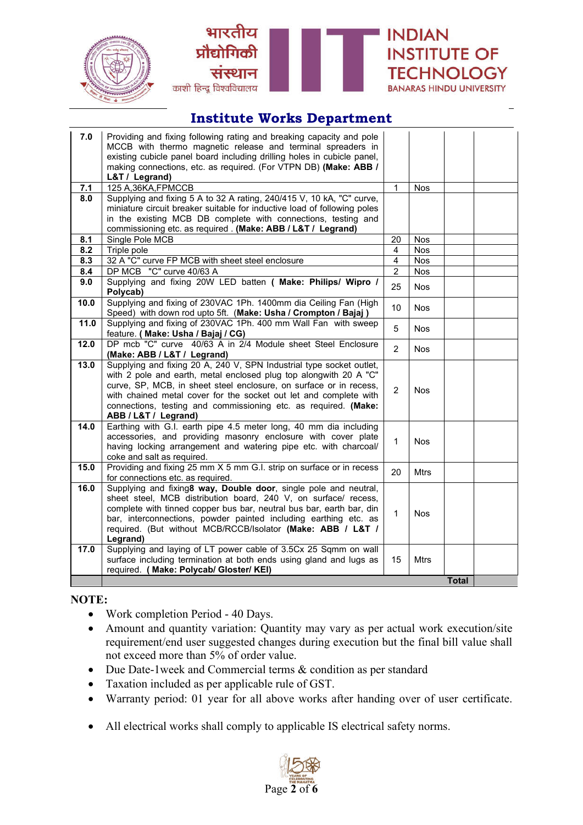





| 7.0  | Providing and fixing following rating and breaking capacity and pole<br>MCCB with thermo magnetic release and terminal spreaders in<br>existing cubicle panel board including drilling holes in cubicle panel, |                |             |              |  |
|------|----------------------------------------------------------------------------------------------------------------------------------------------------------------------------------------------------------------|----------------|-------------|--------------|--|
|      | making connections, etc. as required. (For VTPN DB) (Make: ABB /                                                                                                                                               |                |             |              |  |
|      | L&T / Legrand)                                                                                                                                                                                                 |                |             |              |  |
| 7.1  | 125 A, 36KA, FPMCCB                                                                                                                                                                                            | $\mathbf{1}$   | Nos         |              |  |
| 8.0  | Supplying and fixing 5 A to 32 A rating, 240/415 V, 10 kA, "C" curve,<br>miniature circuit breaker suitable for inductive load of following poles                                                              |                |             |              |  |
|      | in the existing MCB DB complete with connections, testing and                                                                                                                                                  |                |             |              |  |
|      | commissioning etc. as required. (Make: ABB / L&T / Legrand)                                                                                                                                                    |                |             |              |  |
| 8.1  | Single Pole MCB                                                                                                                                                                                                | 20             | Nos         |              |  |
| 8.2  | Triple pole                                                                                                                                                                                                    | 4              | <b>Nos</b>  |              |  |
| 8.3  | 32 A "C" curve FP MCB with sheet steel enclosure                                                                                                                                                               | $\overline{4}$ | <b>Nos</b>  |              |  |
| 8.4  | DP MCB "C" curve 40/63 A                                                                                                                                                                                       | $\overline{2}$ | <b>Nos</b>  |              |  |
| 9.0  | Supplying and fixing 20W LED batten ( Make: Philips/ Wipro /                                                                                                                                                   |                |             |              |  |
|      | Polycab)                                                                                                                                                                                                       | 25             | <b>Nos</b>  |              |  |
| 10.0 | Supplying and fixing of 230VAC 1Ph. 1400mm dia Ceiling Fan (High<br>Speed) with down rod upto 5ft. (Make: Usha / Crompton / Bajaj)                                                                             | 10             | <b>Nos</b>  |              |  |
| 11.0 | Supplying and fixing of 230VAC 1Ph. 400 mm Wall Fan with sweep<br>feature. (Make: Usha / Bajaj / CG)                                                                                                           | 5              | <b>Nos</b>  |              |  |
| 12.0 | DP mcb "C" curve 40/63 A in 2/4 Module sheet Steel Enclosure                                                                                                                                                   |                |             |              |  |
|      | (Make: ABB / L&T / Legrand)                                                                                                                                                                                    | $\mathcal{P}$  | <b>Nos</b>  |              |  |
| 13.0 | Supplying and fixing 20 A, 240 V, SPN Industrial type socket outlet,                                                                                                                                           |                |             |              |  |
|      | with 2 pole and earth, metal enclosed plug top alongwith 20 A "C"                                                                                                                                              |                |             |              |  |
|      | curve, SP, MCB, in sheet steel enclosure, on surface or in recess,                                                                                                                                             | $\overline{2}$ | <b>Nos</b>  |              |  |
|      | with chained metal cover for the socket out let and complete with                                                                                                                                              |                |             |              |  |
|      | connections, testing and commissioning etc. as required. (Make:<br>ABB / L&T / Legrand)                                                                                                                        |                |             |              |  |
| 14.0 | Earthing with G.I. earth pipe 4.5 meter long, 40 mm dia including                                                                                                                                              |                |             |              |  |
|      | accessories, and providing masonry enclosure with cover plate                                                                                                                                                  | $\mathbf{1}$   | <b>Nos</b>  |              |  |
|      | having locking arrangement and watering pipe etc. with charcoal/                                                                                                                                               |                |             |              |  |
|      | coke and salt as required.                                                                                                                                                                                     |                |             |              |  |
| 15.0 | Providing and fixing 25 mm X 5 mm G.I. strip on surface or in recess<br>for connections etc. as required.                                                                                                      | 20             | <b>Mtrs</b> |              |  |
| 16.0 | Supplying and fixing8 way, Double door, single pole and neutral,                                                                                                                                               |                |             |              |  |
|      | sheet steel, MCB distribution board, 240 V, on surface/ recess,                                                                                                                                                |                |             |              |  |
|      | complete with tinned copper bus bar, neutral bus bar, earth bar, din                                                                                                                                           |                |             |              |  |
|      | bar, interconnections, powder painted including earthing etc. as                                                                                                                                               | $\mathbf{1}$   | <b>Nos</b>  |              |  |
|      | required. (But without MCB/RCCB/Isolator (Make: ABB / L&T /                                                                                                                                                    |                |             |              |  |
|      | Legrand)                                                                                                                                                                                                       |                |             |              |  |
| 17.0 | Supplying and laying of LT power cable of 3.5Cx 25 Sqmm on wall                                                                                                                                                |                |             |              |  |
|      | surface including termination at both ends using gland and lugs as                                                                                                                                             | 15             | <b>Mtrs</b> |              |  |
|      | required. (Make: Polycab/ Gloster/ KEI)                                                                                                                                                                        |                |             |              |  |
|      |                                                                                                                                                                                                                |                |             | <b>Total</b> |  |

#### **NOTE:**

- Work completion Period 40 Days.
- Amount and quantity variation: Quantity may vary as per actual work execution/site requirement/end user suggested changes during execution but the final bill value shall not exceed more than 5% of order value.
- Due Date-1 week and Commercial terms & condition as per standard
- Taxation included as per applicable rule of GST.
- Warranty period: 01 year for all above works after handing over of user certificate.
- All electrical works shall comply to applicable IS electrical safety norms.

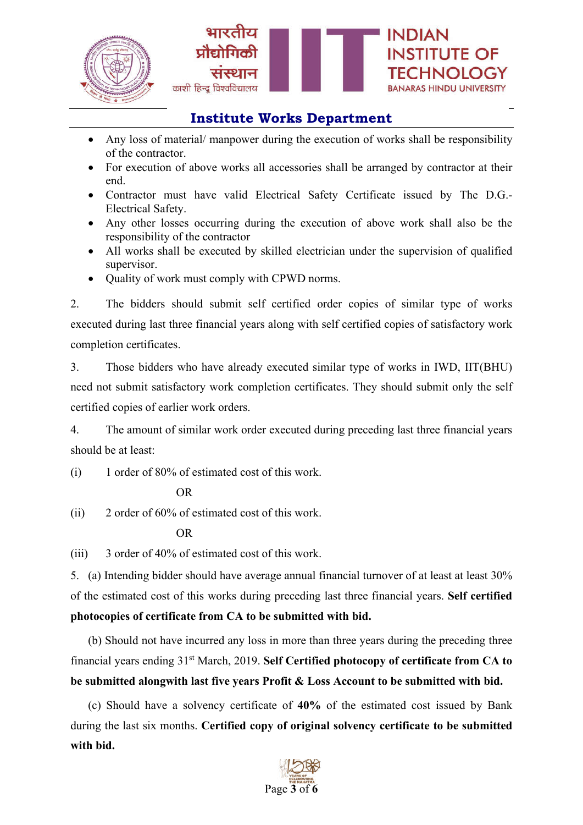

- Any loss of material/ manpower during the execution of works shall be responsibility of the contractor.
- For execution of above works all accessories shall be arranged by contractor at their end.
- Contractor must have valid Electrical Safety Certificate issued by The D.G.- Electrical Safety.
- Any other losses occurring during the execution of above work shall also be the responsibility of the contractor
- All works shall be executed by skilled electrician under the supervision of qualified supervisor.
- Quality of work must comply with CPWD norms.

2. The bidders should submit self certified order copies of similar type of works executed during last three financial years along with self certified copies of satisfactory work completion certificates.

3. Those bidders who have already executed similar type of works in IWD, IIT(BHU) need not submit satisfactory work completion certificates. They should submit only the self certified copies of earlier work orders.

4. The amount of similar work order executed during preceding last three financial years should be at least:

(i) 1 order of 80% of estimated cost of this work.

OR

(ii) 2 order of 60% of estimated cost of this work.

OR

(iii) 3 order of 40% of estimated cost of this work.

5. (a) Intending bidder should have average annual financial turnover of at least at least 30% of the estimated cost of this works during preceding last three financial years. **Self certified photocopies of certificate from CA to be submitted with bid.**

(b) Should not have incurred any loss in more than three years during the preceding three financial years ending 31st March, 2019. **Self Certified photocopy of certificate from CA to be submitted alongwith last five years Profit & Loss Account to be submitted with bid.**

(c) Should have a solvency certificate of **40%** of the estimated cost issued by Bank during the last six months. **Certified copy of original solvency certificate to be submitted with bid.**

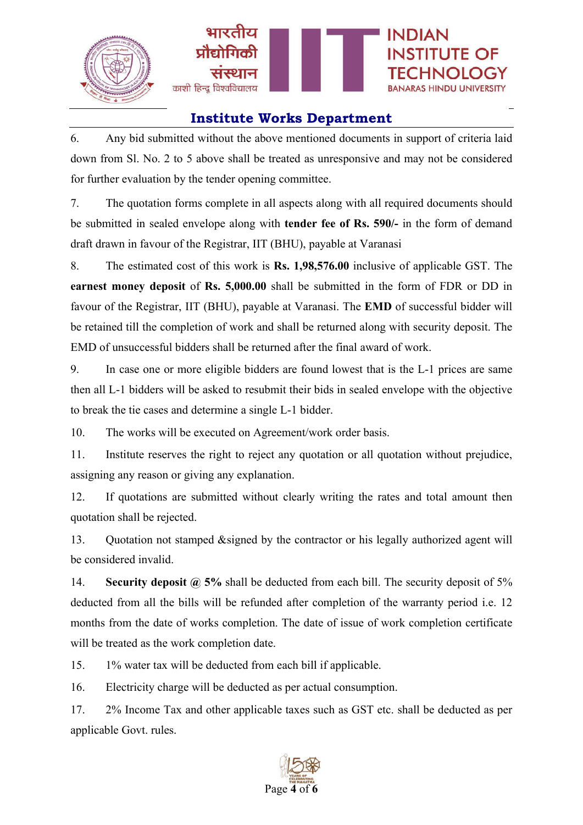

6. Any bid submitted without the above mentioned documents in support of criteria laid down from Sl. No. 2 to 5 above shall be treated as unresponsive and may not be considered for further evaluation by the tender opening committee.

7. The quotation forms complete in all aspects along with all required documents should be submitted in sealed envelope along with **tender fee of Rs. 590/-** in the form of demand draft drawn in favour of the Registrar, IIT (BHU), payable at Varanasi

8. The estimated cost of this work is **Rs. 1,98,576.00** inclusive of applicable GST. The **earnest money deposit** of **Rs. 5,000.00** shall be submitted in the form of FDR or DD in favour of the Registrar, IIT (BHU), payable at Varanasi. The **EMD** of successful bidder will be retained till the completion of work and shall be returned along with security deposit. The EMD of unsuccessful bidders shall be returned after the final award of work.

9. In case one or more eligible bidders are found lowest that is the L-1 prices are same then all L-1 bidders will be asked to resubmit their bids in sealed envelope with the objective to break the tie cases and determine a single L-1 bidder.

10. The works will be executed on Agreement/work order basis.

11. Institute reserves the right to reject any quotation or all quotation without prejudice, assigning any reason or giving any explanation.

12. If quotations are submitted without clearly writing the rates and total amount then quotation shall be rejected.

13. Quotation not stamped &signed by the contractor or his legally authorized agent will be considered invalid.

14. **Security deposit @ 5%** shall be deducted from each bill. The security deposit of 5% deducted from all the bills will be refunded after completion of the warranty period i.e. 12 months from the date of works completion. The date of issue of work completion certificate will be treated as the work completion date.

15. 1% water tax will be deducted from each bill if applicable.

16. Electricity charge will be deducted as per actual consumption.

17. 2% Income Tax and other applicable taxes such as GST etc. shall be deducted as per applicable Govt. rules.

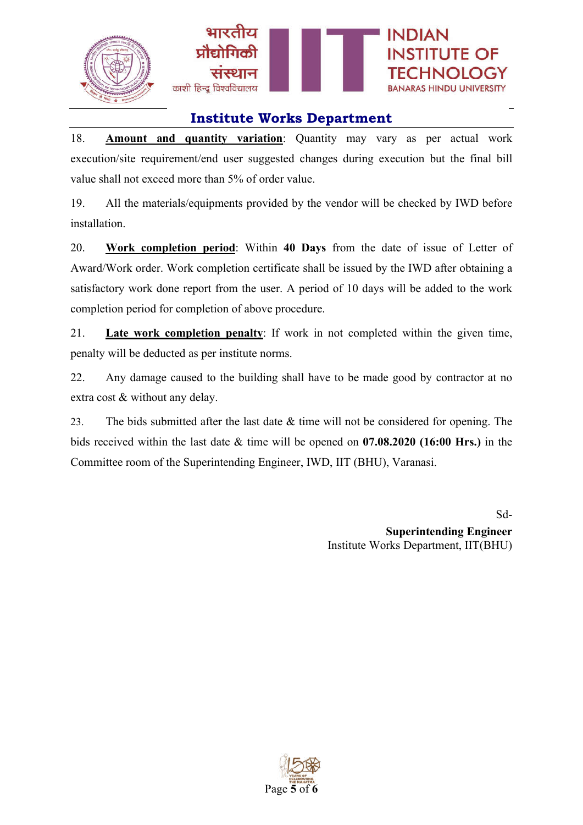

18. **Amount and quantity variation**: Quantity may vary as per actual work execution/site requirement/end user suggested changes during execution but the final bill value shall not exceed more than 5% of order value.

19. All the materials/equipments provided by the vendor will be checked by IWD before installation.

20. **Work completion period**: Within **40 Days** from the date of issue of Letter of Award/Work order. Work completion certificate shall be issued by the IWD after obtaining a satisfactory work done report from the user. A period of 10 days will be added to the work completion period for completion of above procedure.

21. **Late work completion penalty**: If work in not completed within the given time, penalty will be deducted as per institute norms.

22. Any damage caused to the building shall have to be made good by contractor at no extra cost & without any delay.

23. The bids submitted after the last date & time will not be considered for opening. The bids received within the last date & time will be opened on **07.08.2020 (16:00 Hrs.)** in the Committee room of the Superintending Engineer, IWD, IIT (BHU), Varanasi.

> Sd-**Superintending Engineer** Institute Works Department, IIT(BHU)